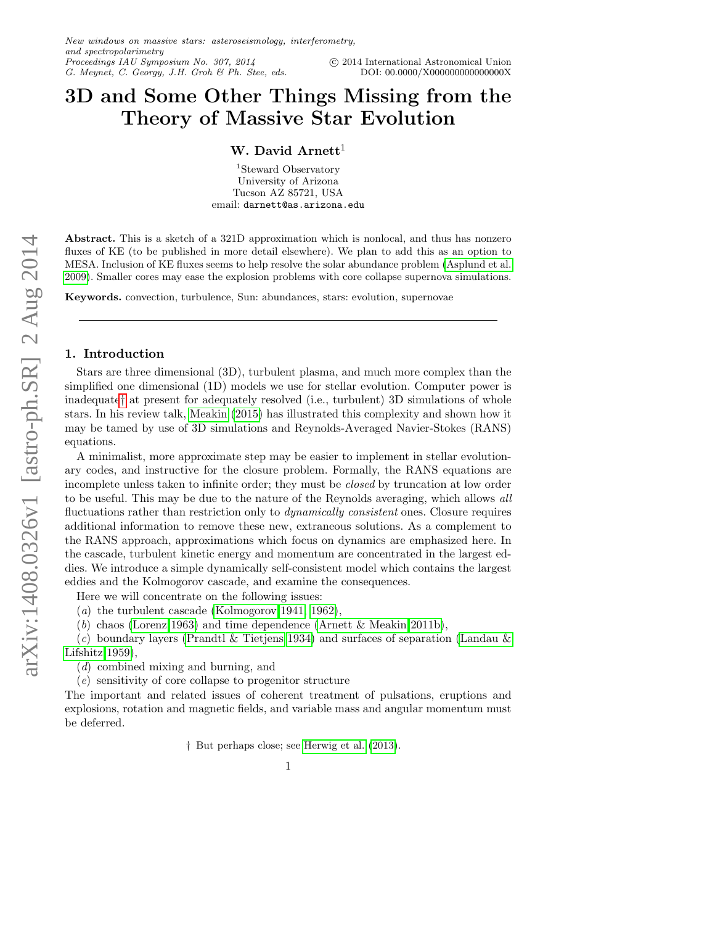# 3D and Some Other Things Missing from the Theory of Massive Star Evolution

# W. David  $Arnett<sup>1</sup>$

<sup>1</sup>Steward Observatory University of Arizona Tucson AZ 85721, USA email: darnett@as.arizona.edu

Abstract. This is a sketch of a 321D approximation which is nonlocal, and thus has nonzero fluxes of KE (to be published in more detail elsewhere). We plan to add this as an option to MESA. Inclusion of KE fluxes seems to help resolve the solar abundance problem [\(Asplund et al.](#page-8-0) [2009\)](#page-8-0). Smaller cores may ease the explosion problems with core collapse supernova simulations.

Keywords. convection, turbulence, Sun: abundances, stars: evolution, supernovae

#### 1. Introduction

Stars are three dimensional (3D), turbulent plasma, and much more complex than the simplified one dimensional (1D) models we use for stellar evolution. Computer power is inadequate[†](#page-0-0) at present for adequately resolved (i.e., turbulent) 3D simulations of whole stars. In his review talk, [Meakin](#page-8-1) [\(2015\)](#page-8-1) has illustrated this complexity and shown how it may be tamed by use of 3D simulations and Reynolds-Averaged Navier-Stokes (RANS) equations.

A minimalist, more approximate step may be easier to implement in stellar evolutionary codes, and instructive for the closure problem. Formally, the RANS equations are incomplete unless taken to infinite order; they must be closed by truncation at low order to be useful. This may be due to the nature of the Reynolds averaging, which allows all fluctuations rather than restriction only to *dynamically consistent* ones. Closure requires additional information to remove these new, extraneous solutions. As a complement to the RANS approach, approximations which focus on dynamics are emphasized here. In the cascade, turbulent kinetic energy and momentum are concentrated in the largest eddies. We introduce a simple dynamically self-consistent model which contains the largest eddies and the Kolmogorov cascade, and examine the consequences.

Here we will concentrate on the following issues:

(a) the turbulent cascade [\(Kolmogorov 1941,](#page-8-2) [1962\)](#page-8-3),

(b) chaos [\(Lorenz 1963\)](#page-8-4) and time dependence [\(Arnett & Meakin 2011b\)](#page-8-5),

(c) boundary layers [\(Prandtl & Tietjens 1934\)](#page-8-6) and surfaces of separation [\(Landau &](#page-8-7) [Lifshitz 1959\)](#page-8-7),

(d) combined mixing and burning, and

(e) sensitivity of core collapse to progenitor structure

The important and related issues of coherent treatment of pulsations, eruptions and explosions, rotation and magnetic fields, and variable mass and angular momentum must be deferred.

<span id="page-0-0"></span>† But perhaps close; see [Herwig et al.](#page-8-8) [\(2013\)](#page-8-8).

1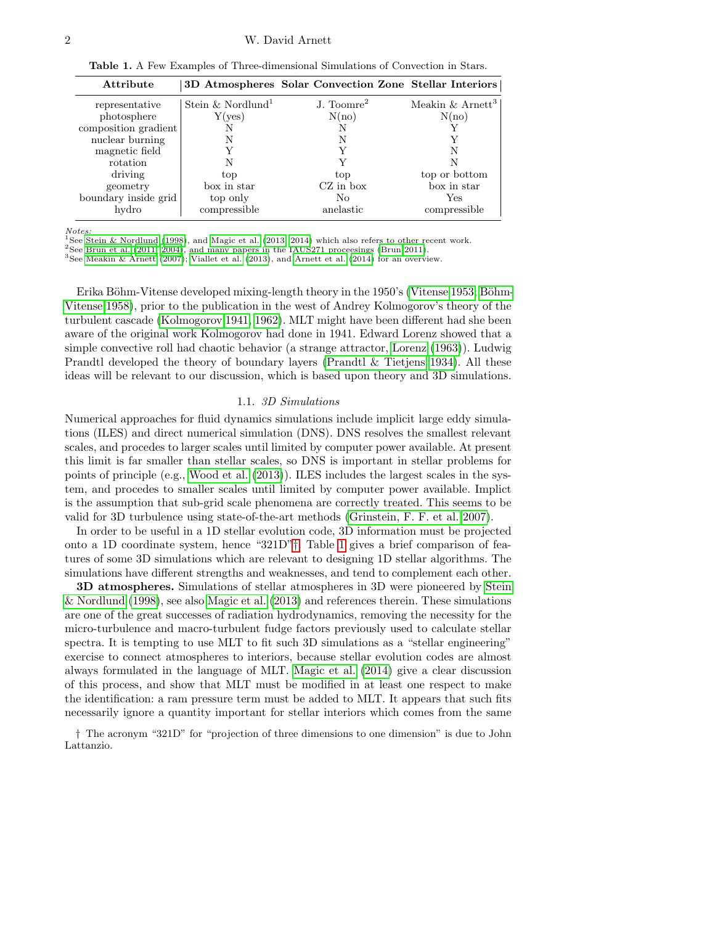#### 2 W. David Arnett

<span id="page-1-1"></span>Table 1. A Few Examples of Three-dimensional Simulations of Convection in Stars.

| Attribute            |                               | 3D Atmospheres Solar Convection Zone Stellar Interiors |                                |
|----------------------|-------------------------------|--------------------------------------------------------|--------------------------------|
| representative       | Stein & Nordlund <sup>1</sup> | J. Toomre <sup>2</sup>                                 | Meakin $&$ Arnett <sup>3</sup> |
| photosphere          | Y( <sub>ves</sub> )           | N(no)                                                  | N(no)                          |
| composition gradient |                               |                                                        |                                |
| nuclear burning      |                               |                                                        |                                |
| magnetic field       |                               |                                                        | N                              |
| rotation             |                               |                                                        |                                |
| driving              | top                           | top                                                    | top or bottom                  |
| geometry             | box in star                   | $CZ$ in box                                            | box in star                    |
| boundary inside grid | top only                      | No                                                     | Yes                            |
| hydro                | compressible                  | anelastic                                              | compressible                   |

Notes:

<sup>1</sup>See [Stein & Nordlund](#page-8-9) [\(1998\)](#page-8-9), and [Magic et al.](#page-8-10) [\(2013,](#page-8-10) [2014\)](#page-8-11) which also refers to other recent work.

 $2$ See [Brun et al.](#page-8-12) [\(2011,](#page-8-12) [2004\)](#page-8-13), and many papers in the IAUS271 proceesings [\(Brun 2011\)](#page-8-14).

<sup>3</sup>See [Meakin & Arnett](#page-8-15) [\(2007\)](#page-8-15); [Viallet et al.](#page-8-16) [\(2013\)](#page-8-16), and [Arnett et al.](#page-8-17) [\(2014\)](#page-8-17) for an overview.

Erika Böhm-Vitense developed mixing-length theory in the 1950's [\(Vitense 1953;](#page-8-18) Böhm-[Vitense 1958\)](#page-8-19), prior to the publication in the west of Andrey Kolmogorov's theory of the turbulent cascade [\(Kolmogorov 1941,](#page-8-2) [1962\)](#page-8-3). MLT might have been different had she been aware of the original work Kolmogorov had done in 1941. Edward Lorenz showed that a simple convective roll had chaotic behavior (a strange attractor, [Lorenz](#page-8-4) [\(1963\)](#page-8-4)). Ludwig Prandtl developed the theory of boundary layers [\(Prandtl & Tietjens 1934\)](#page-8-6). All these ideas will be relevant to our discussion, which is based upon theory and 3D simulations.

## 1.1. 3D Simulations

Numerical approaches for fluid dynamics simulations include implicit large eddy simulations (ILES) and direct numerical simulation (DNS). DNS resolves the smallest relevant scales, and procedes to larger scales until limited by computer power available. At present this limit is far smaller than stellar scales, so DNS is important in stellar problems for points of principle (e.g., [Wood et al.](#page-8-20) [\(2013\)](#page-8-20)). ILES includes the largest scales in the system, and procedes to smaller scales until limited by computer power available. Implict is the assumption that sub-grid scale phenomena are correctly treated. This seems to be valid for 3D turbulence using state-of-the-art methods [\(Grinstein, F. F. et al. 2007\)](#page-8-21).

In order to be useful in a 1D stellar evolution code, 3D information must be projected onto a 1D coordinate system, hence "321D"[†](#page-1-0). Table [1](#page-1-1) gives a brief comparison of features of some 3D simulations which are relevant to designing 1D stellar algorithms. The simulations have different strengths and weaknesses, and tend to complement each other.

3D atmospheres. Simulations of stellar atmospheres in 3D were pioneered by [Stein](#page-8-9) [& Nordlund](#page-8-9) [\(1998\)](#page-8-9), see also [Magic et al.](#page-8-10) [\(2013\)](#page-8-10) and references therein. These simulations are one of the great successes of radiation hydrodynamics, removing the necessity for the micro-turbulence and macro-turbulent fudge factors previously used to calculate stellar spectra. It is tempting to use MLT to fit such 3D simulations as a "stellar engineering" exercise to connect atmospheres to interiors, because stellar evolution codes are almost always formulated in the language of MLT. [Magic et al.](#page-8-11) [\(2014\)](#page-8-11) give a clear discussion of this process, and show that MLT must be modified in at least one respect to make the identification: a ram pressure term must be added to MLT. It appears that such fits necessarily ignore a quantity important for stellar interiors which comes from the same

<span id="page-1-0"></span>† The acronym "321D" for "projection of three dimensions to one dimension" is due to John Lattanzio.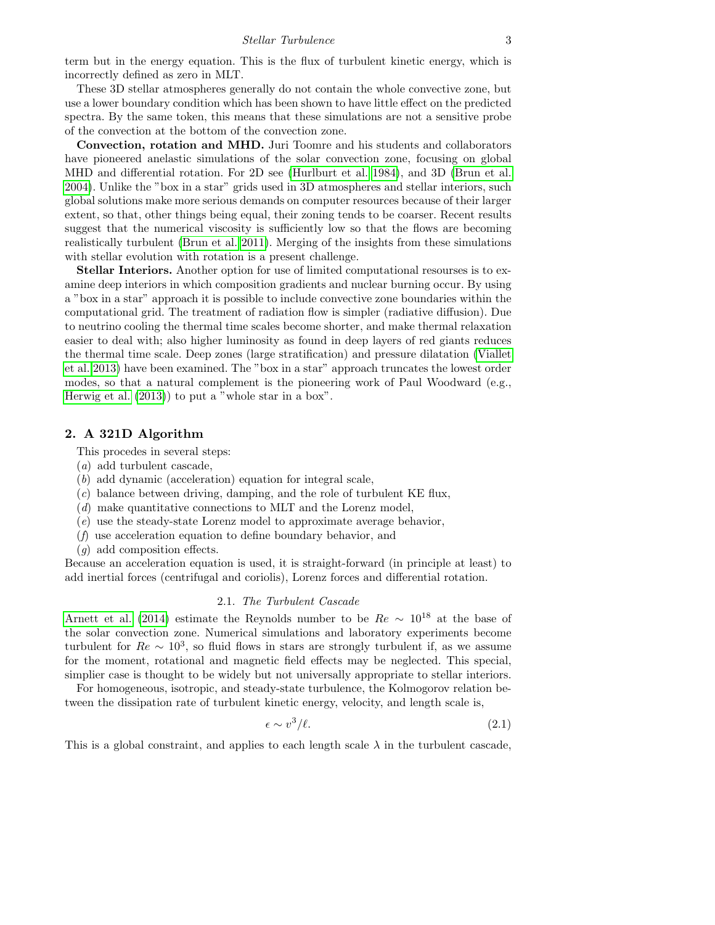term but in the energy equation. This is the flux of turbulent kinetic energy, which is incorrectly defined as zero in MLT.

These 3D stellar atmospheres generally do not contain the whole convective zone, but use a lower boundary condition which has been shown to have little effect on the predicted spectra. By the same token, this means that these simulations are not a sensitive probe of the convection at the bottom of the convection zone.

Convection, rotation and MHD. Juri Toomre and his students and collaborators have pioneered anelastic simulations of the solar convection zone, focusing on global MHD and differential rotation. For 2D see [\(Hurlburt et al. 1984\)](#page-8-22), and 3D [\(Brun et al.](#page-8-13) [2004\)](#page-8-13). Unlike the "box in a star" grids used in 3D atmospheres and stellar interiors, such global solutions make more serious demands on computer resources because of their larger extent, so that, other things being equal, their zoning tends to be coarser. Recent results suggest that the numerical viscosity is sufficiently low so that the flows are becoming realistically turbulent [\(Brun et al. 2011\)](#page-8-12). Merging of the insights from these simulations with stellar evolution with rotation is a present challenge.

Stellar Interiors. Another option for use of limited computational resourses is to examine deep interiors in which composition gradients and nuclear burning occur. By using a "box in a star" approach it is possible to include convective zone boundaries within the computational grid. The treatment of radiation flow is simpler (radiative diffusion). Due to neutrino cooling the thermal time scales become shorter, and make thermal relaxation easier to deal with; also higher luminosity as found in deep layers of red giants reduces the thermal time scale. Deep zones (large stratification) and pressure dilatation [\(Viallet](#page-8-16) [et al. 2013\)](#page-8-16) have been examined. The "box in a star" approach truncates the lowest order modes, so that a natural complement is the pioneering work of Paul Woodward (e.g., [Herwig et al.](#page-8-8) [\(2013\)](#page-8-8)) to put a "whole star in a box".

#### 2. A 321D Algorithm

This procedes in several steps:

- (a) add turbulent cascade,
- (b) add dynamic (acceleration) equation for integral scale,
- (c) balance between driving, damping, and the role of turbulent KE flux,
- (d) make quantitative connections to MLT and the Lorenz model,
- (e) use the steady-state Lorenz model to approximate average behavior,
- (f) use acceleration equation to define boundary behavior, and
- (g) add composition effects.

Because an acceleration equation is used, it is straight-forward (in principle at least) to add inertial forces (centrifugal and coriolis), Lorenz forces and differential rotation.

#### 2.1. The Turbulent Cascade

[Arnett et al.](#page-8-17) [\(2014\)](#page-8-17) estimate the Reynolds number to be  $Re \sim 10^{18}$  at the base of the solar convection zone. Numerical simulations and laboratory experiments become turbulent for  $Re \sim 10^3$ , so fluid flows in stars are strongly turbulent if, as we assume for the moment, rotational and magnetic field effects may be neglected. This special, simplier case is thought to be widely but not universally appropriate to stellar interiors.

For homogeneous, isotropic, and steady-state turbulence, the Kolmogorov relation between the dissipation rate of turbulent kinetic energy, velocity, and length scale is,

<span id="page-2-0"></span>
$$
\epsilon \sim v^3/\ell. \tag{2.1}
$$

This is a global constraint, and applies to each length scale  $\lambda$  in the turbulent cascade,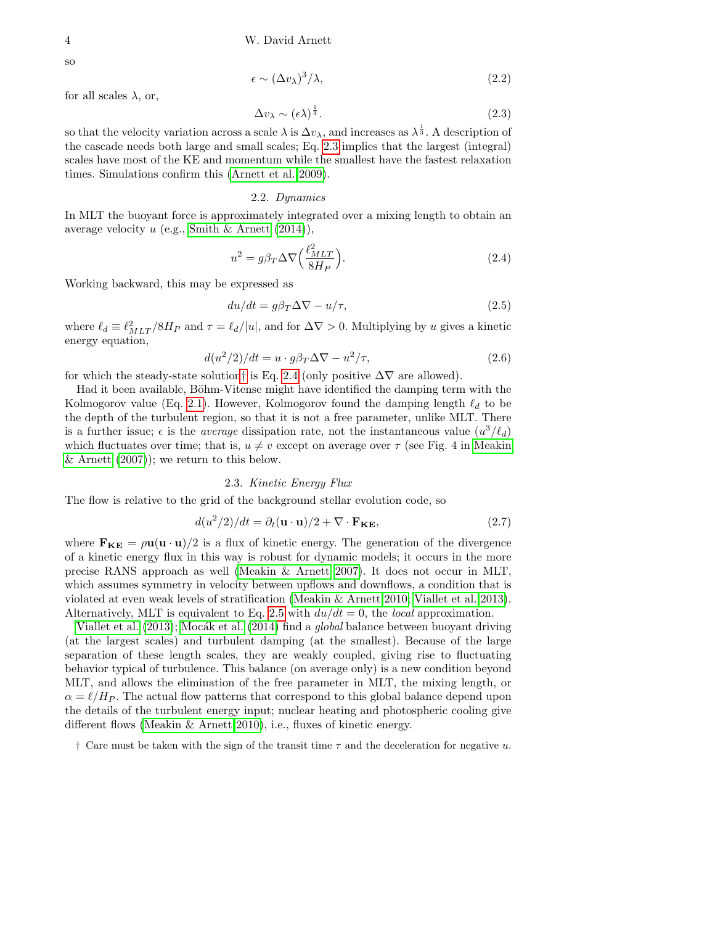$$
\epsilon \sim (\Delta v_{\lambda})^3 / \lambda, \tag{2.2}
$$

for all scales  $\lambda$ , or,

<span id="page-3-0"></span>
$$
\Delta v_{\lambda} \sim (\epsilon \lambda)^{\frac{1}{3}}.
$$
\n(2.3)

so that the velocity variation across a scale  $\lambda$  is  $\Delta v_\lambda$ , and increases as  $\lambda^{\frac{1}{3}}$ . A description of the cascade needs both large and small scales; Eq. [2.3](#page-3-0) implies that the largest (integral) scales have most of the KE and momentum while the smallest have the fastest relaxation times. Simulations confirm this [\(Arnett et al. 2009\)](#page-8-23).

#### 2.2. Dynamics

In MLT the buoyant force is approximately integrated over a mixing length to obtain an average velocity  $u$  (e.g., Smith  $\&$  Arnett [\(2014\)](#page-8-24)),

<span id="page-3-2"></span>
$$
u^2 = g\beta_T \Delta \nabla \left(\frac{\ell_{MLT}^2}{8H_P}\right). \tag{2.4}
$$

Working backward, this may be expressed as

<span id="page-3-3"></span>
$$
du/dt = g\beta_T \Delta \nabla - u/\tau,
$$
\n(2.5)

where  $\ell_d \equiv \ell_{MLT}^2/8H_P$  and  $\tau = \ell_d/|u|$ , and for  $\Delta \nabla > 0$ . Multiplying by u gives a kinetic energy equation,

$$
d(u^2/2)/dt = u \cdot g\beta_T\Delta\nabla - u^2/\tau,
$$
\n(2.6)

for which the steady-state solution[†](#page-3-1) is Eq. [2.4](#page-3-2) (only positive  $\Delta \nabla$  are allowed).

Had it been available, Böhm-Vitense might have identified the damping term with the Kolmogorov value (Eq. [2.1\)](#page-2-0). However, Kolmogorov found the damping length  $\ell_d$  to be the depth of the turbulent region, so that it is not a free parameter, unlike MLT. There is a further issue;  $\epsilon$  is the *average* dissipation rate, not the instantaneous value  $(u^3/\ell_d)$ which fluctuates over time; that is,  $u \neq v$  except on average over  $\tau$  (see Fig. 4 in [Meakin](#page-8-15) [& Arnett](#page-8-15)  $(2007)$ ; we return to this below.

# 2.3. Kinetic Energy Flux

The flow is relative to the grid of the background stellar evolution code, so

$$
d(u^2/2)/dt = \partial_t(\mathbf{u} \cdot \mathbf{u})/2 + \nabla \cdot \mathbf{F}_{\mathbf{KE}},
$$
\n(2.7)

where  $\mathbf{F}_{KE} = \rho \mathbf{u}(\mathbf{u} \cdot \mathbf{u})/2$  is a flux of kinetic energy. The generation of the divergence of a kinetic energy flux in this way is robust for dynamic models; it occurs in the more precise RANS approach as well [\(Meakin & Arnett 2007\)](#page-8-15). It does not occur in MLT, which assumes symmetry in velocity between upflows and downflows, a condition that is violated at even weak levels of stratification [\(Meakin & Arnett 2010;](#page-8-25) [Viallet et al. 2013\)](#page-8-16). Alternatively, MLT is equivalent to Eq. [2.5](#page-3-3) with  $du/dt = 0$ , the *local* approximation.

[Viallet et al.](#page-8-16)  $(2013)$ ; Mocák et al.  $(2014)$  find a *global* balance between buoyant driving (at the largest scales) and turbulent damping (at the smallest). Because of the large separation of these length scales, they are weakly coupled, giving rise to fluctuating behavior typical of turbulence. This balance (on average only) is a new condition beyond MLT, and allows the elimination of the free parameter in MLT, the mixing length, or  $\alpha = \ell/H_P$ . The actual flow patterns that correspond to this global balance depend upon the details of the turbulent energy input; nuclear heating and photospheric cooling give different flows [\(Meakin & Arnett 2010\)](#page-8-25), i.e., fluxes of kinetic energy.

<span id="page-3-1"></span> $\dagger$  Care must be taken with the sign of the transit time  $\tau$  and the deceleration for negative u.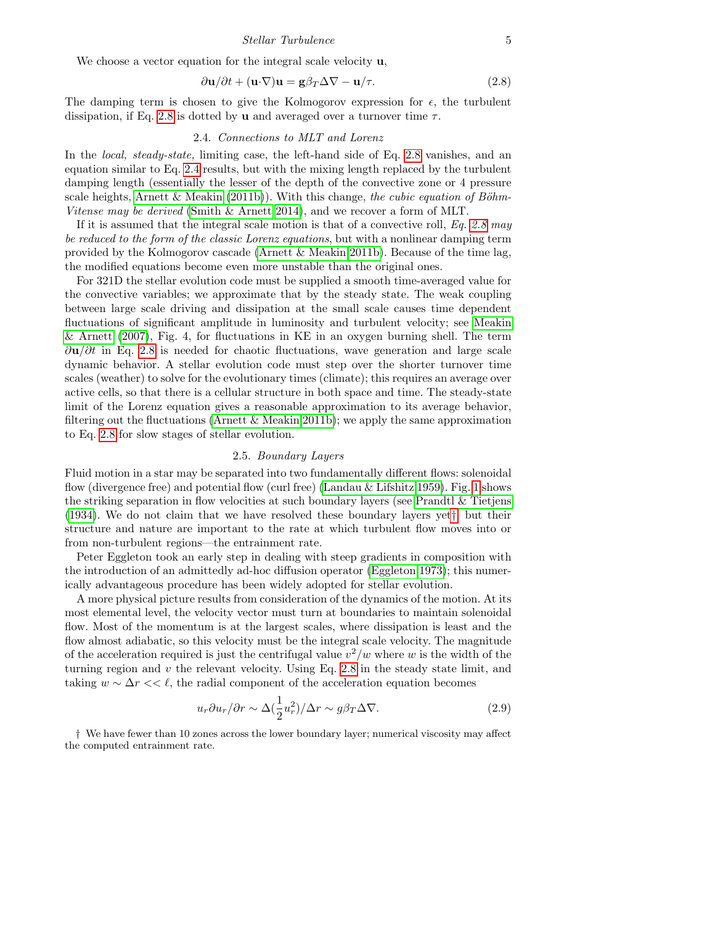We choose a vector equation for the integral scale velocity **u**,

<span id="page-4-0"></span>
$$
\frac{\partial \mathbf{u}}{\partial t} + (\mathbf{u} \cdot \nabla) \mathbf{u} = \mathbf{g} \beta_T \Delta \nabla - \mathbf{u} / \tau.
$$
 (2.8)

The damping term is chosen to give the Kolmogorov expression for  $\epsilon$ , the turbulent dissipation, if Eq. [2.8](#page-4-0) is dotted by **u** and averaged over a turnover time  $\tau$ .

#### 2.4. Connections to MLT and Lorenz

In the *local, steady-state*, limiting case, the left-hand side of Eq. [2.8](#page-4-0) vanishes, and an equation similar to Eq. [2.4](#page-3-2) results, but with the mixing length replaced by the turbulent damping length (essentially the lesser of the depth of the convective zone or 4 pressure scale heights, [Arnett & Meakin](#page-8-5) [\(2011b\)](#page-8-5)). With this change, the cubic equation of Böhm-Vitense may be derived [\(Smith & Arnett 2014\)](#page-8-24), and we recover a form of MLT.

If it is assumed that the integral scale motion is that of a convective roll,  $Eq. 2.8$  $Eq. 2.8$  may be reduced to the form of the classic Lorenz equations, but with a nonlinear damping term provided by the Kolmogorov cascade [\(Arnett & Meakin 2011b\)](#page-8-5). Because of the time lag, the modified equations become even more unstable than the original ones.

For 321D the stellar evolution code must be supplied a smooth time-averaged value for the convective variables; we approximate that by the steady state. The weak coupling between large scale driving and dissipation at the small scale causes time dependent fluctuations of significant amplitude in luminosity and turbulent velocity; see [Meakin](#page-8-15) [& Arnett](#page-8-15) [\(2007\)](#page-8-15), Fig. 4, for fluctuations in KE in an oxygen burning shell. The term  $\partial$ u/∂t in Eq. [2.8](#page-4-0) is needed for chaotic fluctuations, wave generation and large scale dynamic behavior. A stellar evolution code must step over the shorter turnover time scales (weather) to solve for the evolutionary times (climate); this requires an average over active cells, so that there is a cellular structure in both space and time. The steady-state limit of the Lorenz equation gives a reasonable approximation to its average behavior, filtering out the fluctuations [\(Arnett & Meakin 2011b\)](#page-8-5); we apply the same approximation to Eq. [2.8](#page-4-0) for slow stages of stellar evolution.

### 2.5. Boundary Layers

Fluid motion in a star may be separated into two fundamentally different flows: solenoidal flow (divergence free) and potential flow (curl free) [\(Landau & Lifshitz 1959\)](#page-8-7). Fig. [1](#page-5-0) shows the striking separation in flow velocities at such boundary layers (see [Prandtl & Tietjens](#page-8-6) [\(1934\)](#page-8-6). We do not claim that we have resolved these boundary layers yet[†](#page-4-1), but their structure and nature are important to the rate at which turbulent flow moves into or from non-turbulent regions—the entrainment rate.

Peter Eggleton took an early step in dealing with steep gradients in composition with the introduction of an admittedly ad-hoc diffusion operator [\(Eggleton 1973\)](#page-8-27); this numerically advantageous procedure has been widely adopted for stellar evolution.

A more physical picture results from consideration of the dynamics of the motion. At its most elemental level, the velocity vector must turn at boundaries to maintain solenoidal flow. Most of the momentum is at the largest scales, where dissipation is least and the flow almost adiabatic, so this velocity must be the integral scale velocity. The magnitude of the acceleration required is just the centrifugal value  $v^2/w$  where w is the width of the turning region and v the relevant velocity. Using Eq. [2.8](#page-4-0) in the steady state limit, and taking  $w \sim \Delta r << l$ , the radial component of the acceleration equation becomes

<span id="page-4-2"></span>
$$
u_r \partial u_r / \partial r \sim \Delta \left(\frac{1}{2} u_r^2\right) / \Delta r \sim g \beta_T \Delta \nabla.
$$
 (2.9)

<span id="page-4-1"></span>† We have fewer than 10 zones across the lower boundary layer; numerical viscosity may affect the computed entrainment rate.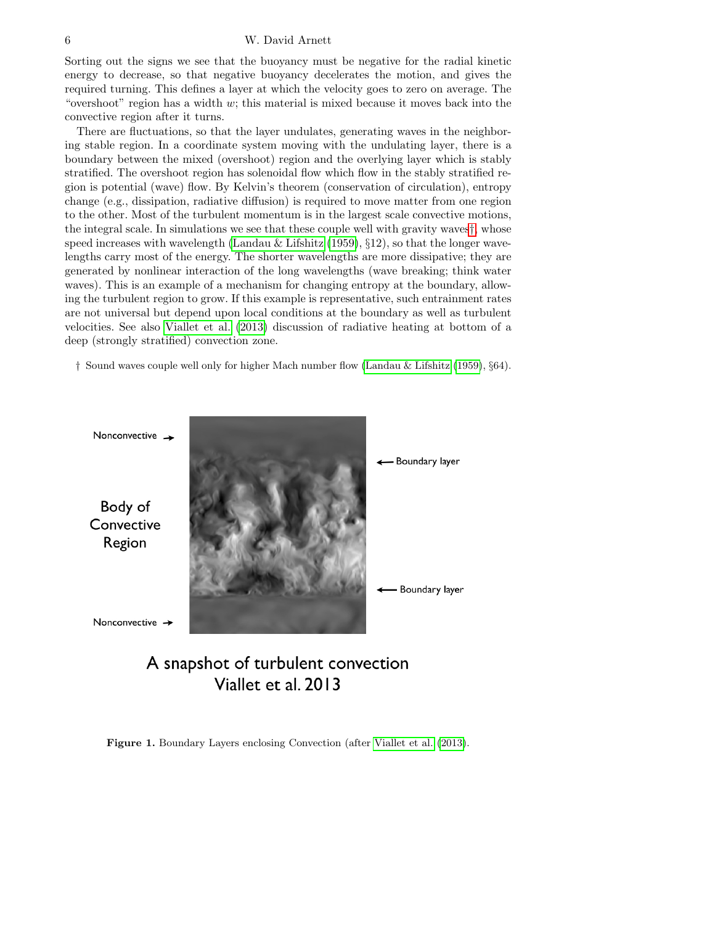Sorting out the signs we see that the buoyancy must be negative for the radial kinetic energy to decrease, so that negative buoyancy decelerates the motion, and gives the required turning. This defines a layer at which the velocity goes to zero on average. The "overshoot" region has a width  $w$ ; this material is mixed because it moves back into the convective region after it turns.

There are fluctuations, so that the layer undulates, generating waves in the neighboring stable region. In a coordinate system moving with the undulating layer, there is a boundary between the mixed (overshoot) region and the overlying layer which is stably stratified. The overshoot region has solenoidal flow which flow in the stably stratified region is potential (wave) flow. By Kelvin's theorem (conservation of circulation), entropy change (e.g., dissipation, radiative diffusion) is required to move matter from one region to the other. Most of the turbulent momentum is in the largest scale convective motions, the integral scale. In simulations we see that these couple well with gravity waves[†](#page-5-1), whose speed increases with wavelength [\(Landau & Lifshitz](#page-8-7)  $(1959), \S12$  $(1959), \S12$ ), so that the longer wavelengths carry most of the energy. The shorter wavelengths are more dissipative; they are generated by nonlinear interaction of the long wavelengths (wave breaking; think water waves). This is an example of a mechanism for changing entropy at the boundary, allowing the turbulent region to grow. If this example is representative, such entrainment rates are not universal but depend upon local conditions at the boundary as well as turbulent velocities. See also [Viallet et al.](#page-8-16) [\(2013\)](#page-8-16) discussion of radiative heating at bottom of a deep (strongly stratified) convection zone.

<span id="page-5-1"></span>† Sound waves couple well only for higher Mach number flow [\(Landau & Lifshitz](#page-8-7) [\(1959\)](#page-8-7), §64).



A snapshot of turbulent convection Viallet et al. 2013

<span id="page-5-0"></span>Figure 1. Boundary Layers enclosing Convection (after [Viallet et al.](#page-8-16) [\(2013\)](#page-8-16).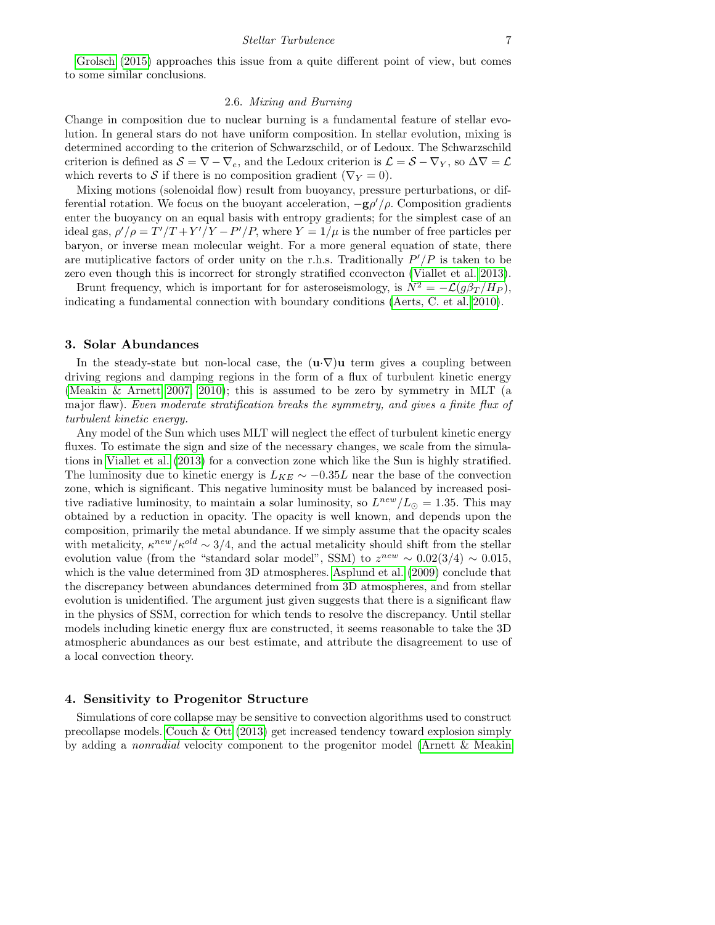[Grolsch](#page-8-28) [\(2015\)](#page-8-28) approaches this issue from a quite different point of view, but comes to some similar conclusions.

## 2.6. Mixing and Burning

Change in composition due to nuclear burning is a fundamental feature of stellar evolution. In general stars do not have uniform composition. In stellar evolution, mixing is determined according to the criterion of Schwarzschild, or of Ledoux. The Schwarzschild criterion is defined as  $S = \nabla - \nabla_e$ , and the Ledoux criterion is  $\mathcal{L} = S - \nabla_Y$ , so  $\Delta \nabla = \mathcal{L}$ which reverts to S if there is no composition gradient ( $\nabla_Y = 0$ ).

Mixing motions (solenoidal flow) result from buoyancy, pressure perturbations, or differential rotation. We focus on the buoyant acceleration,  $-g\rho'/\rho$ . Composition gradients enter the buoyancy on an equal basis with entropy gradients; for the simplest case of an ideal gas,  $\rho' / \rho = T' / T + Y' / Y - P' / P$ , where  $Y = 1 / \mu$  is the number of free particles per baryon, or inverse mean molecular weight. For a more general equation of state, there are mutiplicative factors of order unity on the r.h.s. Traditionally  $P'/P$  is taken to be zero even though this is incorrect for strongly stratified cconvecton [\(Viallet et al. 2013\)](#page-8-16).

Brunt frequency, which is important for for asteroseismology, is  $N^2 = -\mathcal{L}(q\beta_T/H_P)$ , indicating a fundamental connection with boundary conditions [\(Aerts, C. et al. 2010\)](#page-8-29).

#### 3. Solar Abundances

In the steady-state but non-local case, the  $(\mathbf{u} \cdot \nabla) \mathbf{u}$  term gives a coupling between driving regions and damping regions in the form of a flux of turbulent kinetic energy [\(Meakin & Arnett 2007,](#page-8-15) [2010\)](#page-8-25); this is assumed to be zero by symmetry in MLT (a major flaw). Even moderate stratification breaks the symmetry, and gives a finite flux of turbulent kinetic energy.

Any model of the Sun which uses MLT will neglect the effect of turbulent kinetic energy fluxes. To estimate the sign and size of the necessary changes, we scale from the simulations in [Viallet et al.](#page-8-16) [\(2013\)](#page-8-16) for a convection zone which like the Sun is highly stratified. The luminosity due to kinetic energy is  $L_{KE} \sim -0.35L$  near the base of the convection zone, which is significant. This negative luminosity must be balanced by increased positive radiative luminosity, to maintain a solar luminosity, so  $L^{new}/L_{\odot} = 1.35$ . This may obtained by a reduction in opacity. The opacity is well known, and depends upon the composition, primarily the metal abundance. If we simply assume that the opacity scales with metalicity,  $\kappa^{new}/\kappa^{old} \sim 3/4$ , and the actual metalicity should shift from the stellar evolution value (from the "standard solar model", SSM) to  $z^{new} \sim 0.02(3/4) \sim 0.015$ , which is the value determined from 3D atmospheres. [Asplund et al.](#page-8-0) [\(2009\)](#page-8-0) conclude that the discrepancy between abundances determined from 3D atmospheres, and from stellar evolution is unidentified. The argument just given suggests that there is a significant flaw in the physics of SSM, correction for which tends to resolve the discrepancy. Until stellar models including kinetic energy flux are constructed, it seems reasonable to take the 3D atmospheric abundances as our best estimate, and attribute the disagreement to use of a local convection theory.

#### 4. Sensitivity to Progenitor Structure

Simulations of core collapse may be sensitive to convection algorithms used to construct precollapse models. [Couch & Ott](#page-8-30) [\(2013\)](#page-8-30) get increased tendency toward explosion simply by adding a nonradial velocity component to the progenitor model [\(Arnett & Meakin](#page-8-31)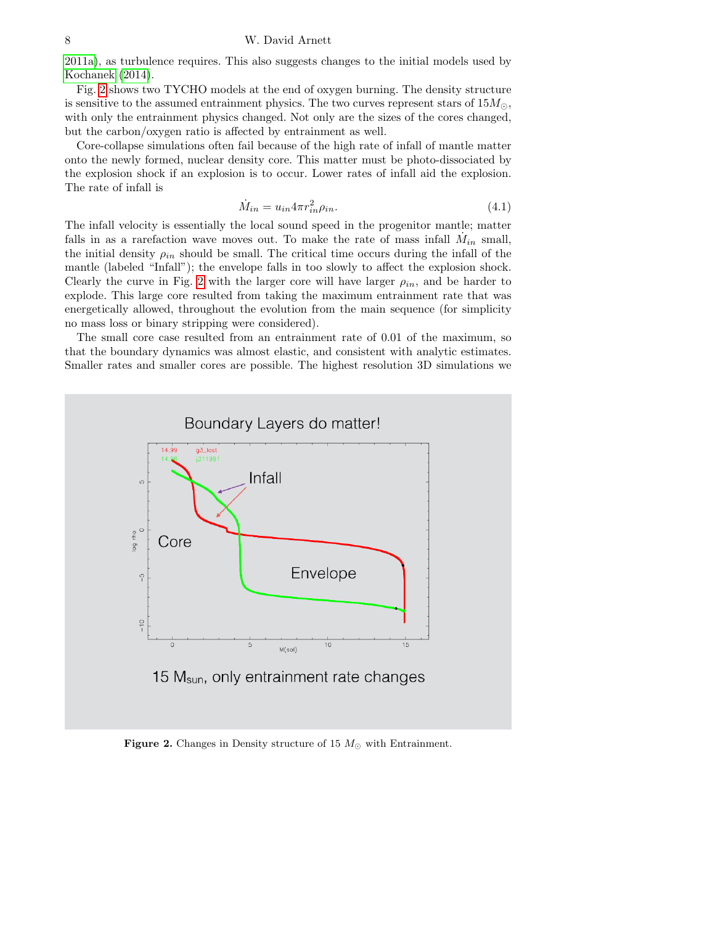[2011a\)](#page-8-31), as turbulence requires. This also suggests changes to the initial models used by [Kochanek](#page-8-32) [\(2014\)](#page-8-32).

Fig. [2](#page-7-0) shows two TYCHO models at the end of oxygen burning. The density structure is sensitive to the assumed entrainment physics. The two curves represent stars of  $15M_{\odot}$ , with only the entrainment physics changed. Not only are the sizes of the cores changed, but the carbon/oxygen ratio is affected by entrainment as well.

Core-collapse simulations often fail because of the high rate of infall of mantle matter onto the newly formed, nuclear density core. This matter must be photo-dissociated by the explosion shock if an explosion is to occur. Lower rates of infall aid the explosion. The rate of infall is

$$
\dot{M}_{in} = u_{in} 4\pi r_{in}^2 \rho_{in}.\tag{4.1}
$$

The infall velocity is essentially the local sound speed in the progenitor mantle; matter falls in as a rarefaction wave moves out. To make the rate of mass infall  $\dot{M}_{in}$  small, the initial density  $\rho_{in}$  should be small. The critical time occurs during the infall of the mantle (labeled "Infall"); the envelope falls in too slowly to affect the explosion shock. Clearly the curve in Fig. [2](#page-7-0) with the larger core will have larger  $\rho_{in}$ , and be harder to explode. This large core resulted from taking the maximum entrainment rate that was energetically allowed, throughout the evolution from the main sequence (for simplicity no mass loss or binary stripping were considered).

The small core case resulted from an entrainment rate of 0.01 of the maximum, so that the boundary dynamics was almost elastic, and consistent with analytic estimates. Smaller rates and smaller cores are possible. The highest resolution 3D simulations we



<span id="page-7-0"></span>Figure 2. Changes in Density structure of 15  $M_{\odot}$  with Entrainment.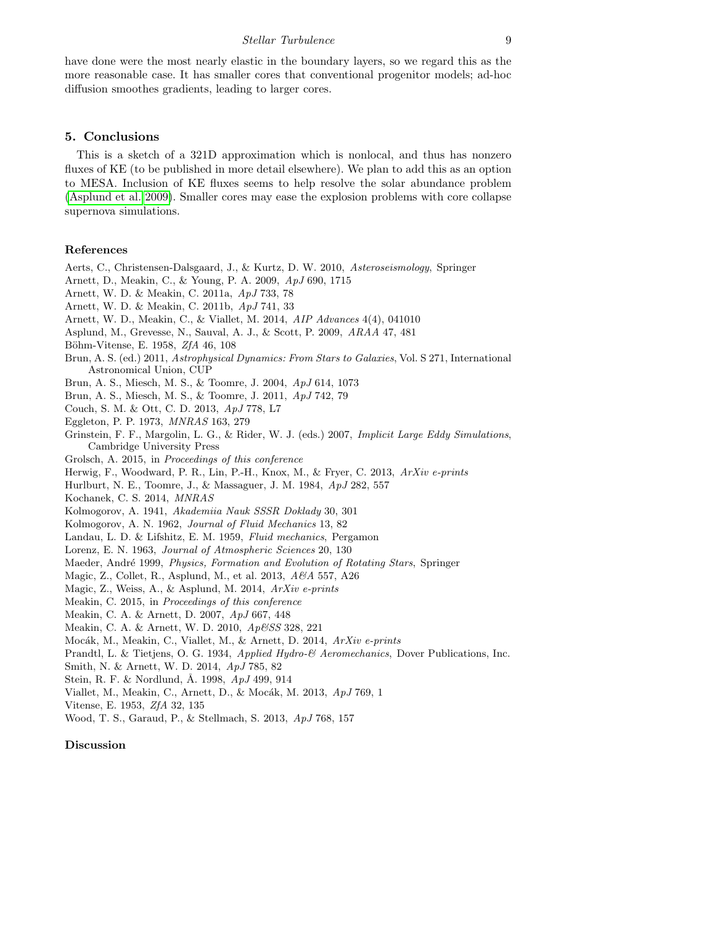have done were the most nearly elastic in the boundary layers, so we regard this as the more reasonable case. It has smaller cores that conventional progenitor models; ad-hoc diffusion smoothes gradients, leading to larger cores.

# 5. Conclusions

This is a sketch of a 321D approximation which is nonlocal, and thus has nonzero fluxes of KE (to be published in more detail elsewhere). We plan to add this as an option to MESA. Inclusion of KE fluxes seems to help resolve the solar abundance problem [\(Asplund et al. 2009\)](#page-8-0). Smaller cores may ease the explosion problems with core collapse supernova simulations.

# References

<span id="page-8-31"></span><span id="page-8-30"></span><span id="page-8-29"></span><span id="page-8-28"></span><span id="page-8-27"></span><span id="page-8-23"></span><span id="page-8-22"></span><span id="page-8-21"></span><span id="page-8-19"></span><span id="page-8-17"></span><span id="page-8-14"></span><span id="page-8-13"></span><span id="page-8-12"></span><span id="page-8-8"></span><span id="page-8-5"></span><span id="page-8-0"></span>Aerts, C., Christensen-Dalsgaard, J., & Kurtz, D. W. 2010, Asteroseismology, Springer Arnett, D., Meakin, C., & Young, P. A. 2009, ApJ 690, 1715 Arnett, W. D. & Meakin, C. 2011a, ApJ 733, 78 Arnett, W. D. & Meakin, C. 2011b, ApJ 741, 33 Arnett, W. D., Meakin, C., & Viallet, M. 2014, AIP Advances 4(4), 041010 Asplund, M., Grevesse, N., Sauval, A. J., & Scott, P. 2009, ARAA 47, 481 Böhm-Vitense, E. 1958, *ZfA* 46, 108 Brun, A. S. (ed.) 2011, Astrophysical Dynamics: From Stars to Galaxies, Vol. S 271, International Astronomical Union, CUP Brun, A. S., Miesch, M. S., & Toomre, J. 2004, ApJ 614, 1073 Brun, A. S., Miesch, M. S., & Toomre, J. 2011, ApJ 742, 79 Couch, S. M. & Ott, C. D. 2013, ApJ 778, L7 Eggleton, P. P. 1973, MNRAS 163, 279 Grinstein, F. F., Margolin, L. G., & Rider, W. J. (eds.) 2007, Implicit Large Eddy Simulations, Cambridge University Press Grolsch, A. 2015, in Proceedings of this conference Herwig, F., Woodward, P. R., Lin, P.-H., Knox, M., & Fryer, C. 2013, ArXiv e-prints Hurlburt, N. E., Toomre, J., & Massaguer, J. M. 1984, ApJ 282, 557 Kochanek, C. S. 2014, MNRAS Kolmogorov, A. 1941, Akademiia Nauk SSSR Doklady 30, 301 Kolmogorov, A. N. 1962, Journal of Fluid Mechanics 13, 82 Landau, L. D. & Lifshitz, E. M. 1959, Fluid mechanics, Pergamon Lorenz, E. N. 1963, Journal of Atmospheric Sciences 20, 130 Maeder, André 1999, Physics, Formation and Evolution of Rotating Stars, Springer Magic, Z., Collet, R., Asplund, M., et al. 2013, A&A 557, A26 Magic, Z., Weiss, A., & Asplund, M. 2014, ArXiv e-prints Meakin, C. 2015, in Proceedings of this conference Meakin, C. A. & Arnett, D. 2007, ApJ 667, 448 Meakin, C. A. & Arnett, W. D. 2010, Ap&SS 328, 221 Mocák, M., Meakin, C., Viallet, M., & Arnett, D. 2014, ArXiv e-prints Prandtl, L. & Tietjens, O. G. 1934, Applied Hydro-& Aeromechanics, Dover Publications, Inc. Smith, N. & Arnett, W. D. 2014, ApJ 785, 82 Stein, R. F. & Nordlund, Å. 1998, ApJ 499, 914 Viallet, M., Meakin, C., Arnett, D., & Mocák, M. 2013, ApJ 769, 1

<span id="page-8-33"></span><span id="page-8-32"></span><span id="page-8-26"></span><span id="page-8-25"></span><span id="page-8-24"></span><span id="page-8-18"></span><span id="page-8-16"></span><span id="page-8-15"></span><span id="page-8-11"></span><span id="page-8-10"></span><span id="page-8-9"></span><span id="page-8-7"></span><span id="page-8-6"></span><span id="page-8-4"></span><span id="page-8-3"></span><span id="page-8-2"></span><span id="page-8-1"></span>Vitense, E. 1953, ZfA 32, 135

<span id="page-8-20"></span>Wood, T. S., Garaud, P., & Stellmach, S. 2013, ApJ 768, 157

#### Discussion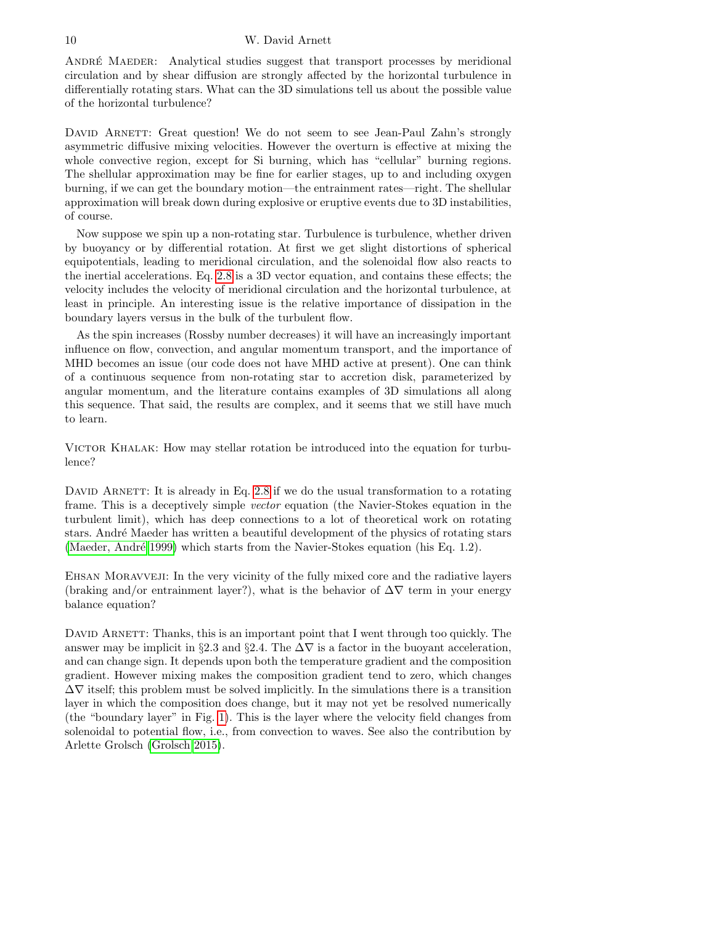#### 10 W. David Arnett

ANDRÉ MAEDER: Analytical studies suggest that transport processes by meridional circulation and by shear diffusion are strongly affected by the horizontal turbulence in differentially rotating stars. What can the 3D simulations tell us about the possible value of the horizontal turbulence?

DAVID ARNETT: Great question! We do not seem to see Jean-Paul Zahn's strongly asymmetric diffusive mixing velocities. However the overturn is effective at mixing the whole convective region, except for Si burning, which has "cellular" burning regions. The shellular approximation may be fine for earlier stages, up to and including oxygen burning, if we can get the boundary motion—the entrainment rates—right. The shellular approximation will break down during explosive or eruptive events due to 3D instabilities, of course.

Now suppose we spin up a non-rotating star. Turbulence is turbulence, whether driven by buoyancy or by differential rotation. At first we get slight distortions of spherical equipotentials, leading to meridional circulation, and the solenoidal flow also reacts to the inertial accelerations. Eq. [2.8](#page-4-0) is a 3D vector equation, and contains these effects; the velocity includes the velocity of meridional circulation and the horizontal turbulence, at least in principle. An interesting issue is the relative importance of dissipation in the boundary layers versus in the bulk of the turbulent flow.

As the spin increases (Rossby number decreases) it will have an increasingly important influence on flow, convection, and angular momentum transport, and the importance of MHD becomes an issue (our code does not have MHD active at present). One can think of a continuous sequence from non-rotating star to accretion disk, parameterized by angular momentum, and the literature contains examples of 3D simulations all along this sequence. That said, the results are complex, and it seems that we still have much to learn.

VICTOR KHALAK: How may stellar rotation be introduced into the equation for turbulence?

DAVID ARNETT: It is already in Eq.  $2.8$  if we do the usual transformation to a rotating frame. This is a deceptively simple vector equation (the Navier-Stokes equation in the turbulent limit), which has deep connections to a lot of theoretical work on rotating stars. Andr´e Maeder has written a beautiful development of the physics of rotating stars (Maeder, André 1999) which starts from the Navier-Stokes equation (his Eq. 1.2).

EHSAN MORAVVEJI: In the very vicinity of the fully mixed core and the radiative layers (braking and/or entrainment layer?), what is the behavior of  $\Delta \nabla$  term in your energy balance equation?

DAVID ARNETT: Thanks, this is an important point that I went through too quickly. The answer may be implicit in §2.3 and §2.4. The  $\Delta \nabla$  is a factor in the buoyant acceleration, and can change sign. It depends upon both the temperature gradient and the composition gradient. However mixing makes the composition gradient tend to zero, which changes  $\Delta \nabla$  itself; this problem must be solved implicitly. In the simulations there is a transition layer in which the composition does change, but it may not yet be resolved numerically (the "boundary layer" in Fig. [1\)](#page-5-0). This is the layer where the velocity field changes from solenoidal to potential flow, i.e., from convection to waves. See also the contribution by Arlette Grolsch [\(Grolsch 2015\)](#page-8-28).